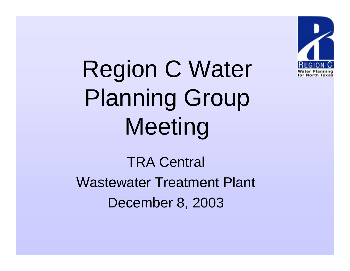

Region C Water Planning Group Meeting

TRA Central Wastewater Treatment Plant December 8, 2003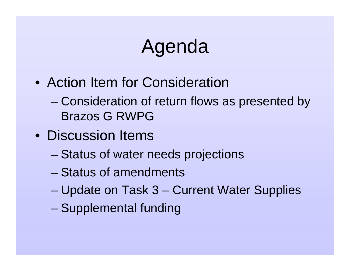# Agenda

- Action Item for Consideration
	- – Consideration of return flows as presented by Brazos G RWPG
- Discussion Items
	- –Status of water needs projections
	- Status of amendments
	- –Update on Task 3 – Current Water Supplies
	- –Supplemental funding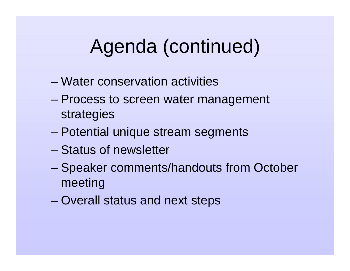# Agenda (continued)

- Water conservation activities
- – Process to screen water management strategies
- Potential unique stream segments
- Status of newsletter
- – Speaker comments/handouts from October meeting
- –Overall status and next steps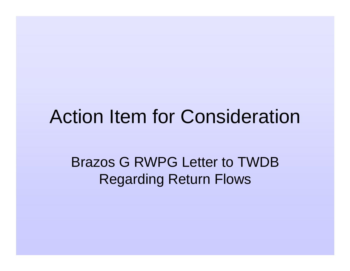#### Action Item for Consideration

Brazos G RWPG Letter to TWDB Regarding Return Flows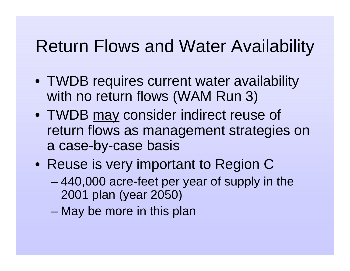- TWDB requires current water availability with no return flows (WAM Run 3)
- TWDB may consider indirect reuse of return flows as management strategies on a case-by-case basis
- Reuse is very important to Region C
	- – 440,000 acre-feet per year of supply in the 2001 plan (year 2050)
	- –May be more in this plan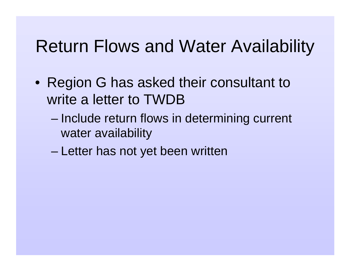- Region G has asked their consultant to write a letter to TWDB
	- – Include return flows in determining current water availability
	- –Letter has not yet been written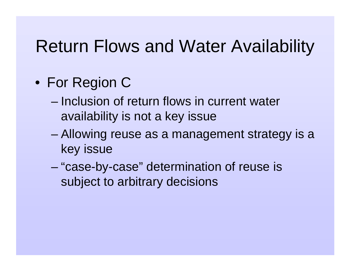- For Region C
	- Inclusion of return flows in current water availability is not a key issue
	- – Allowing reuse as a management strategy is a key issue
	- "case-by-case" determination of reuse is subject to arbitrary decisions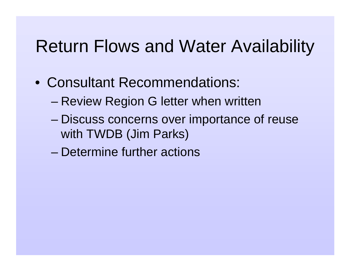- Consultant Recommendations:
	- –Review Region G letter when written
	- – Discuss concerns over importance of reuse with TWDB (Jim Parks)
	- Determine further actions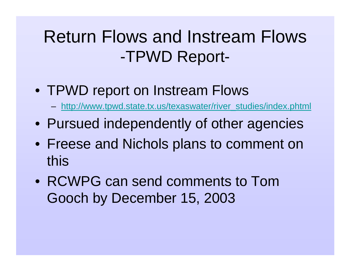#### Return Flows and Instream Flows -TPWD Report-

- TPWD report on Instream Flows
	- http://www.tpwd.state.tx.us/texaswater/river\_studies/index.phtml
- Pursued independently of other agencies
- Freese and Nichols plans to comment on this
- RCWPG can send comments to Tom Gooch by December 15, 2003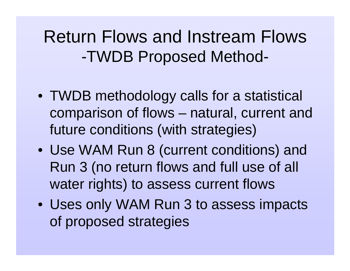#### Return Flows and Instream Flows -TWDB Proposed Method-

- TWDB methodology calls for a statistical comparison of flows – natural, current and future conditions (with strategies)
- Use WAM Run 8 (current conditions) and Run 3 (no return flows and full use of all water rights) to assess current flows
- Uses only WAM Run 3 to assess impacts of proposed strategies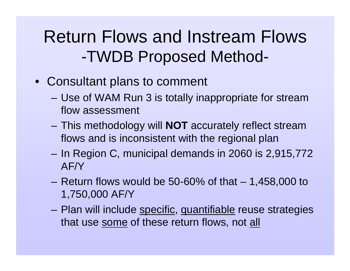#### Return Flows and Instream Flows -TWDB Proposed Method-

- Consultant plans to comment
	- Use of WAM Run 3 is totally inappropriate for stream flow assessment
	- – This methodology will **NOT** accurately reflect stream flows and is inconsistent with the regional plan
	- In Region C, municipal demands in 2060 is 2,915,772 AF/Y
	- Return flows would be 50-60% of that  $-1,458,000$  to 1,750,000 AF/Y
	- –Plan will include specific, quantifiable reuse strategies that use <u>some</u> of these return flows, not <u>all</u>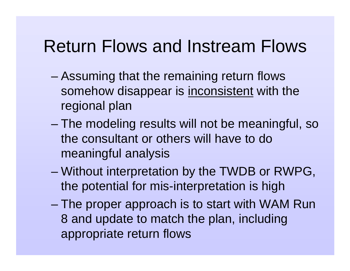#### Return Flows and Instream Flows

- – Assuming that the remaining return flows somehow disappear is inconsistent with the regional plan
- The modeling results will not be meaningful, so the consultant or others will have to do meaningful analysis
- – Without interpretation by the TWDB or RWPG, the potential for mis-interpretation is high
- – The proper approach is to start with WAM Run 8 and update to match the plan, including appropriate return flows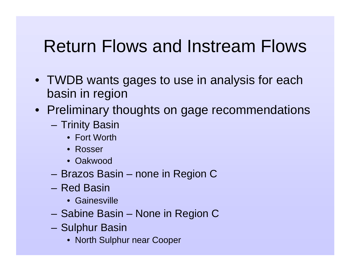#### Return Flows and Instream Flows

- TWDB wants gages to use in analysis for each basin in region
- Preliminary thoughts on gage recommendations
	- Trinity Basin
		- Fort Worth
		- Rosser
		- Oakwood
	- Brazos Basin none in Region C
	- Red Basin
		- Gainesville
	- Sabine Basin None in Region C
	- – Sulphur Basin
		- North Sulphur near Cooper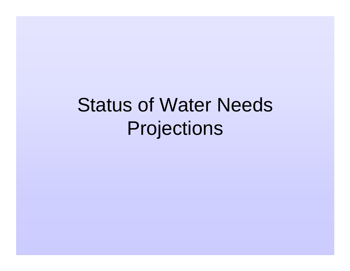Status of Water Needs Projections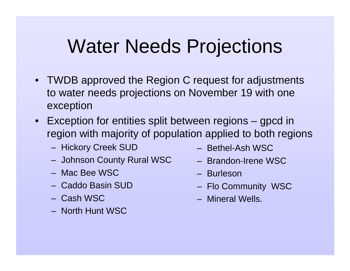## Water Needs Projections

- TWDB approved the Region C request for adjustments to water needs projections on November 19 with one exception
- Exception for entities split between regions gpcd in region with majority of population applied to both regions
	- Hickory Creek SUD
	- Johnson County Rural WSC
	- Mac Bee WSC
	- Caddo Basin SUD
	- Cash WSC
	- North Hunt WSC
- Bethel-Ash WSC
- Brandon-Irene WSC
- Burleson
- Flo Community WSC
- Mineral Wells.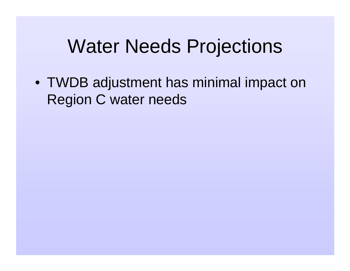## Water Needs Projections

• TWDB adjustment has minimal impact on Region C water needs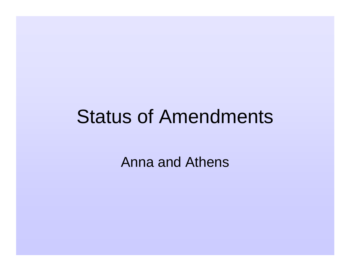### Status of Amendments

Anna and Athens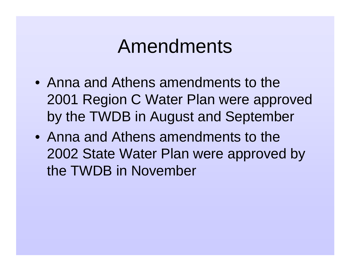## Amendments

- Anna and Athens amendments to the 2001 Region C Water Plan were approved by the TWDB in August and September
- Anna and Athens amendments to the 2002 State Water Plan were approved by the TWDB in November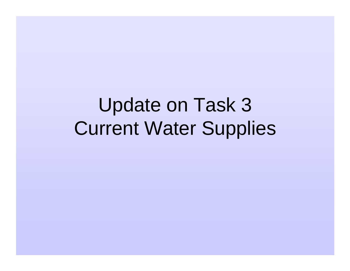Update on Task 3 Current Water Supplies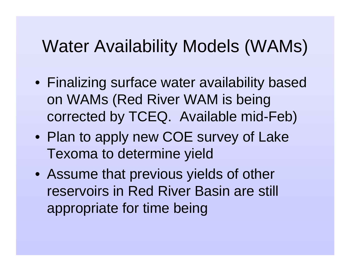#### Water Availability Models (WAMs)

- Finalizing surface water availability based on WAMs (Red River WAM is being corrected by TCEQ. Available mid-Feb)
- Plan to apply new COE survey of Lake Texoma to determine yield
- Assume that previous yields of other reservoirs in Red River Basin are still appropriate for time being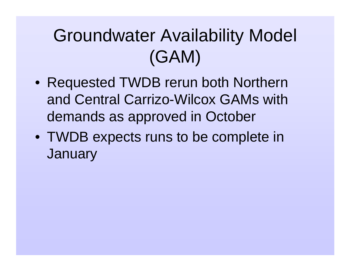## Groundwater Availability Model (GAM)

- Requested TWDB rerun both Northern and Central Carrizo-Wilcox GAMs with demands as approved in October
- TWDB expects runs to be complete in **January**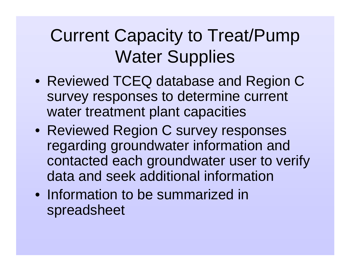## Current Capacity to Treat/Pump Water Supplies

- Reviewed TCEQ database and Region C survey responses to determine current water treatment plant capacities
- Reviewed Region C survey responses regarding groundwater information and contacted each groundwater user to verify data and seek additional information
- Information to be summarized in spreadsheet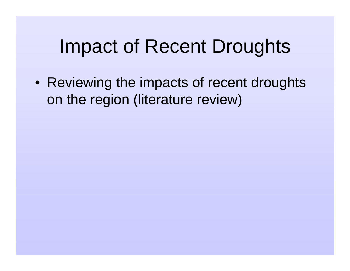## Impact of Recent Droughts

• Reviewing the impacts of recent droughts on the region (literature review)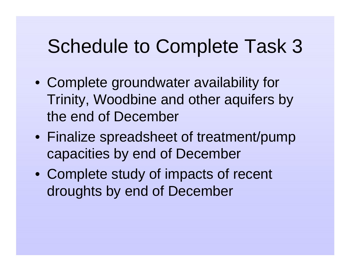## Schedule to Complete Task 3

- Complete groundwater availability for Trinity, Woodbine and other aquifers by the end of December
- Finalize spreadsheet of treatment/pump capacities by end of December
- Complete study of impacts of recent droughts by end of December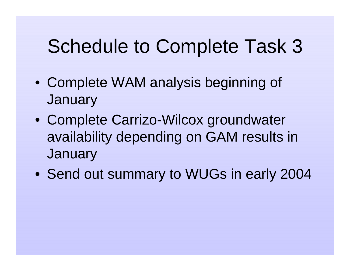# Schedule to Complete Task 3

- Complete WAM analysis beginning of **January**
- Complete Carrizo-Wilcox groundwater availability depending on GAM results in **January**
- Send out summary to WUGs in early 2004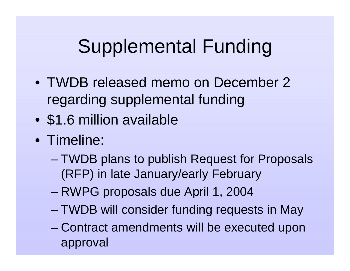- TWDB released memo on December 2 regarding supplemental funding
- $\bullet$ \$1.6 million available
- Timeline:
	- – TWDB plans to publish Request for Proposals (RFP) in late January/early February
	- –RWPG proposals due April 1, 2004
	- TWDB will consider funding requests in May
	- Contract amendments will be executed upon approval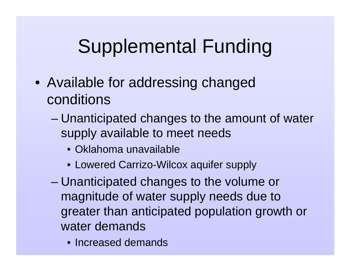- Available for addressing changed conditions
	- – Unanticipated changes to the amount of water supply available to meet needs
		- Oklahoma unavailable
		- Lowered Carrizo-Wilcox aquifer supply
	- – Unanticipated changes to the volume or magnitude of water supply needs due to greater than anticipated population growth or water demands
		- Increased demands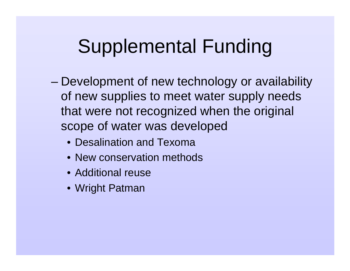- – Development of new technology or availability of new supplies to meet water supply needs that were not recognized when the original scope of water was developed
	- Desalination and Texoma
	- New conservation methods
	- Additional reuse
	- Wright Patman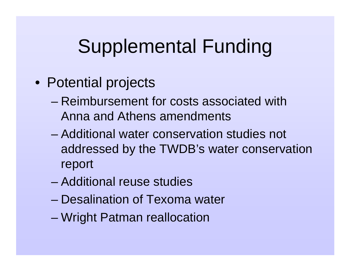- Potential projects
	- Reimbursement for costs associated with Anna and Athens amendments
	- Additional water conservation studies not addressed by the TWDB's water conservation report
	- Additional reuse studies
	- Desalination of Texoma water
	- –Wright Patman reallocation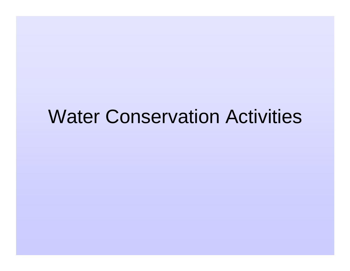## Water Conservation Activities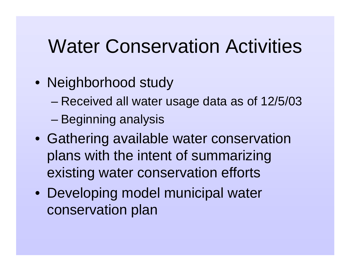## Water Conservation Activities

- Neighborhood study
	- –Received all water usage data as of 12/5/03
	- –Beginning analysis
- Gathering available water conservation plans with the intent of summarizing existing water conservation efforts
- Developing model municipal water conservation plan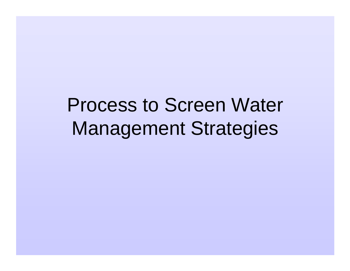# Process to Screen Water Management Strategies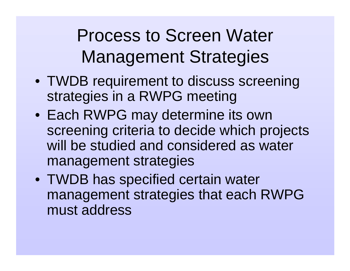Process to Screen Water Management Strategies

- TWDB requirement to discuss screening strategies in a RWPG meeting
- Each RWPG may determine its own screening criteria to decide which projects will be studied and considered as water management strategies
- TWDB has specified certain water management strategies that each RWPG must address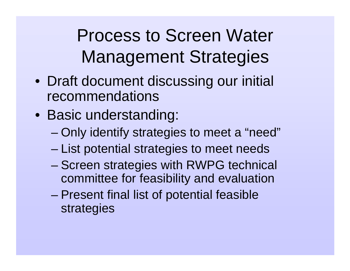Process to Screen Water Management Strategies

- Draft document discussing our initial recommendations
- Basic understanding:
	- Only identify strategies to meet a "need"
	- –List potential strategies to meet needs
	- – Screen strategies with RWPG technical committee for feasibility and evaluation
	- – Present final list of potential feasible strategies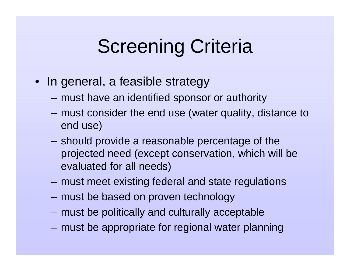# Screening Criteria

- In general, a feasible strategy
	- must have an identified sponsor or authority
	- must consider the end use (water quality, distance to end use)
	- – should provide a reasonable percentage of the projected need (except conservation, which will be evaluated for all needs)
	- must meet existing federal and state regulations
	- must be based on proven technology
	- must be politically and culturally acceptable
	- must be appropriate for regional water planning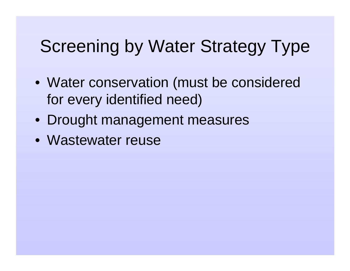- Water conservation (must be considered for every identified need)
- Drought management measures
- Wastewater reuse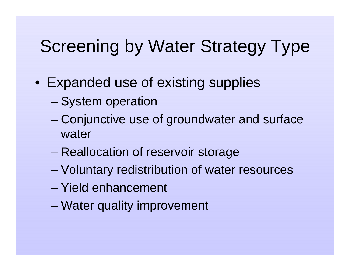- Expanded use of existing supplies
	- –System operation
	- – Conjunctive use of groundwater and surface water
	- –Reallocation of reservoir storage
	- Voluntary redistribution of water resources
	- Yield enhancement
	- –Water quality improvement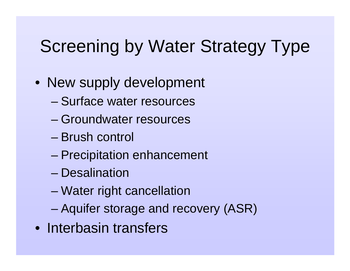- New supply development
	- Surface water resources
	- Groundwater resources
	- Brush control
	- –Precipitation enhancement
	- Desalination
	- –Water right cancellation
	- –Aquifer storage and recovery (ASR)
- Interbasin transfers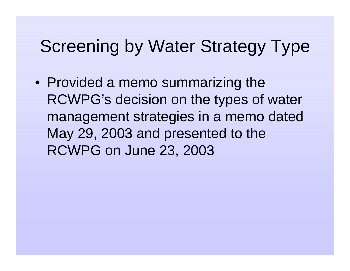• Provided a memo summarizing the RCWPG's decision on the types of water management strategies in a memo dated May 29, 2003 and presented to the RCWPG on June 23, 2003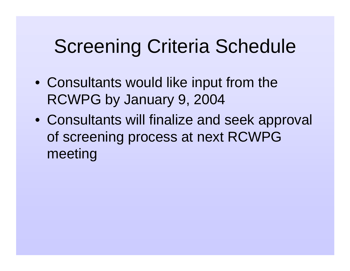# Screening Criteria Schedule

- Consultants would like input from the RCWPG by January 9, 2004
- Consultants will finalize and seek approval of screening process at next RCWPG meeting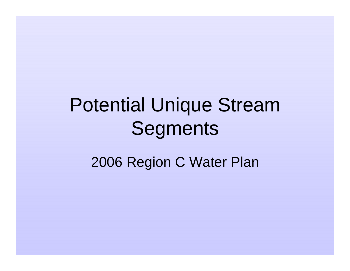# Potential Unique Stream Segments

2006 Region C Water Plan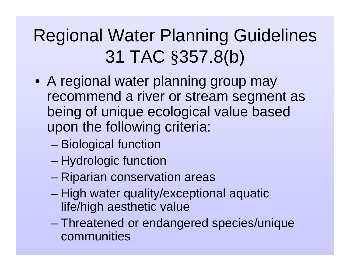# Regional Water Planning Guidelines 31 TAC §357.8(b)

- A regional water planning group may recommend a river or stream segment as being of unique ecological value based upon the following criteria:
	- –Biological function
	- Hydrologic function
	- –Riparian conservation areas
	- – High water quality/exceptional aquatic life/high aesthetic value
	- – Threatened or endangered species/unique communities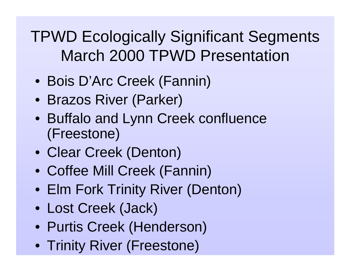TPWD Ecologically Significant Segments March 2000 TPWD Presentation

- Bois D'Arc Creek (Fannin)
- Brazos River (Parker)
- Buffalo and Lynn Creek confluence (Freestone)
- Clear Creek (Denton)
- Coffee Mill Creek (Fannin)
- Elm Fork Trinity River (Denton)
- Lost Creek (Jack)
- Purtis Creek (Henderson)
- Trinity River (Freestone)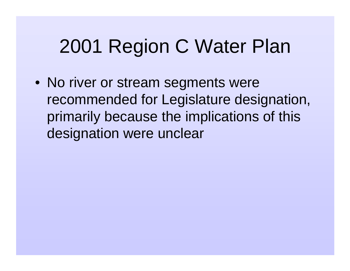# 2001 Region C Water Plan

• No river or stream segments were recommended for Legislature designation, primarily because the implications of this designation were unclear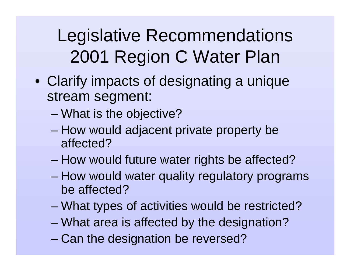Legislative Recommendations 2001 Region C Water Plan

- Clarify impacts of designating a unique stream segment:
	- –What is the objective?
	- How would adjacent private property be affected?
	- –How would future water rights be affected?
	- – How would water quality regulatory programs be affected?
	- –What types of activities would be restricted?
	- What area is affected by the designation?
	- –Can the designation be reversed?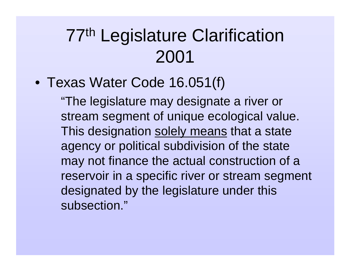#### 77th Legislature Clarification 2001

• Texas Water Code 16.051(f)

"The legislature may designate a river or stream segment of unique ecological value. This designation solely means that a state agency or political subdivision of the state may not finance the actual construction of a reservoir in a specific river or stream segment designated by the legislature under this subsection."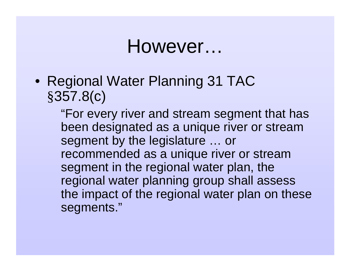#### However…

• Regional Water Planning 31 TAC §357.8(c)

> "For every river and stream segment that has been designated as a unique river or stream segment by the legislature … or recommended as a unique river or stream segment in the regional water plan, the regional water planning group shall assess the impact of the regional water plan on these segments."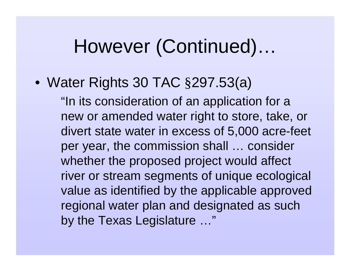## However (Continued)…

#### • Water Rights 30 TAC §297.53(a)

"In its consideration of an application for a new or amended water right to store, take, or divert state water in excess of 5,000 acre-feet per year, the commission shall … consider whether the proposed project would affect river or stream segments of unique ecological value as identified by the applicable approved regional water plan and designated as such by the Texas Legislature …"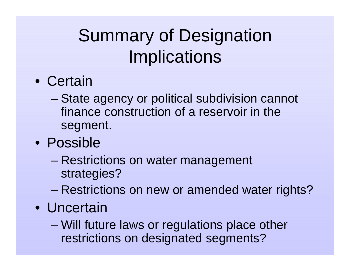# Summary of Designation **Implications**

- Certain
	- – State agency or political subdivision cannot finance construction of a reservoir in the segment.
- Possible
	- Restrictions on water management strategies?
	- –Restrictions on new or amended water rights?
- Uncertain
	- Will future laws or regulations place other restrictions on designated segments?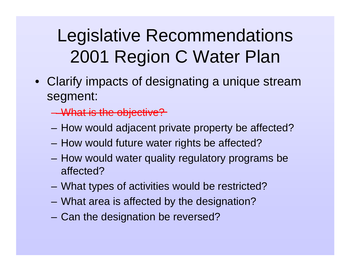## Legislative Recommendations 2001 Region C Water Plan

• Clarify impacts of designating a unique stream segment:

What is the objective?

- How would adjacent private property be affected?
- How would future water rights be affected?
- How would water quality regulatory programs be affected?
- What types of activities would be restricted?
- What area is affected by the designation?
- Can the designation be reversed?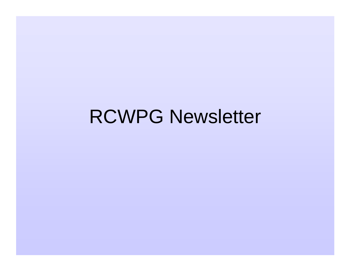# RCWPG Newsletter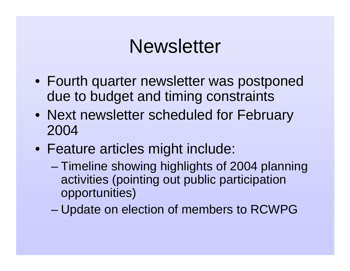#### **Newsletter**

- Fourth quarter newsletter was postponed due to budget and timing constraints
- Next newsletter scheduled for February 2004
- Feature articles might include:
	- Timeline showing highlights of 2004 planning activities (pointing out public participation opportunities)
	- –Update on election of members to RCWPG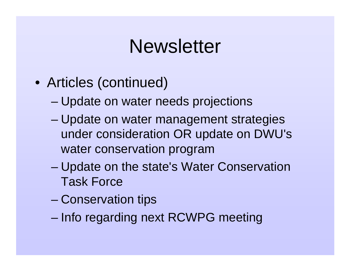#### **Newsletter**

- Articles (continued)
	- –Update on water needs projections
	- – Update on water management strategies under consideration OR update on DWU's water conservation program
	- Update on the state's Water Conservation Task Force
	- –Conservation tips
	- –Info regarding next RCWPG meeting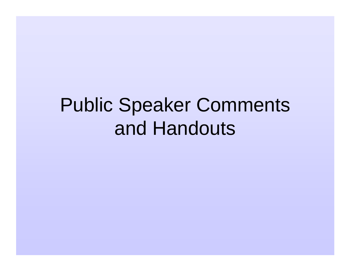# Public Speaker Comments and Handouts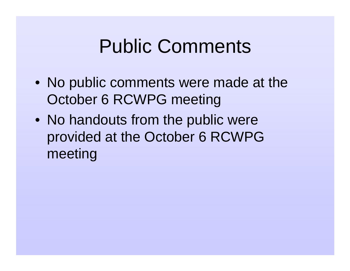## Public Comments

- No public comments were made at the October 6 RCWPG meeting
- No handouts from the public were provided at the October 6 RCWPG meeting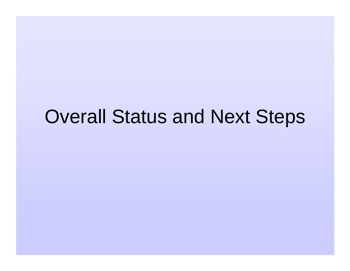## Overall Status and Next Steps